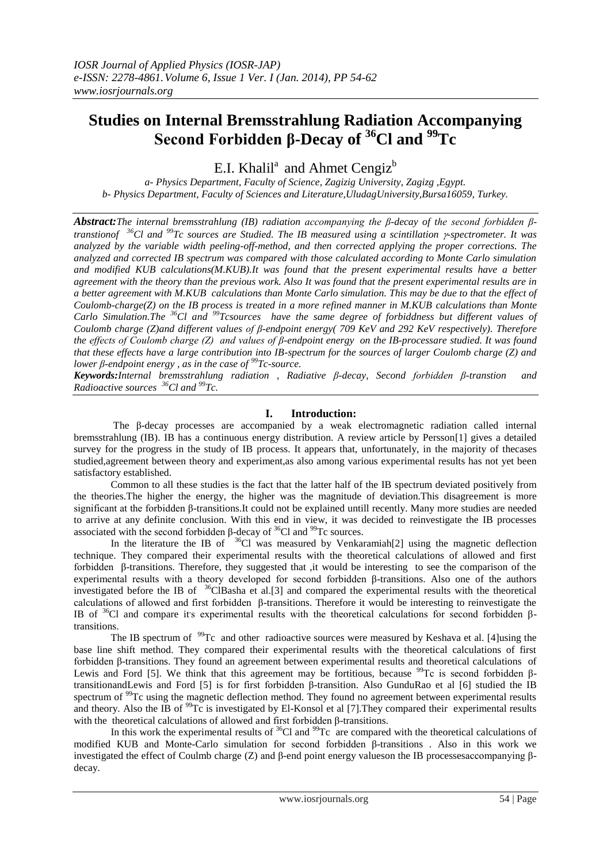# **Studies on Internal Bremsstrahlung Radiation Accompanying Second Forbidden β-Decay of <sup>36</sup>Cl and <sup>99</sup>Tc**

E.I. Khalil<sup>a</sup> and Ahmet Cengiz<sup>b</sup>

*a- Physics Department, Faculty of Science, Zagizig University, Zagizg ,Egypt. b- Physics Department, Faculty of Sciences and Literature,UludagUniversity,Bursa16059, Turkey.*

*Abstract:The internal bremsstrahlung (IB) radiation accompanying the β-decay of the second forbidden βtranstionof <sup>36</sup>Cl and <sup>99</sup>Tc sources are Studied. The IB measured using a scintillation -spectrometer. It was analyzed by the variable width peeling-off-method, and then corrected applying the proper corrections. The analyzed and corrected IB spectrum was compared with those calculated according to Monte Carlo simulation and modified KUB calculations(M.KUB).It was found that the present experimental results have a better agreement with the theory than the previous work. Also It was found that the present experimental results are in a better agreement with M.KUB calculations than Monte Carlo simulation. This may be due to that the effect of Coulomb-charge(Z) on the IB process is treated in a more refined manner in M.KUB calculations than Monte Carlo Simulation.The <sup>36</sup>Cl and <sup>99</sup>Tcsources have the same degree of forbiddness but different values of Coulomb charge (Z)and different values of β-endpoint energy( 709 KeV and 292 KeV respectively). Therefore the effects of Coulomb charge (Z) and values of β-endpoint energy on the IB-processare studied. It was found that these effects have a large contribution into IB-spectrum for the sources of larger Coulomb charge (Z) and lower β-endpoint energy , as in the case of <sup>99</sup>Tc-source.*

*Keywords:Internal bremsstrahlung radiation , Radiative β-decay, Second forbidden β-transtion and Radioactive sources <sup>36</sup>Cl and <sup>99</sup>Tc.*

# **I. Introduction:**

The β-decay processes are accompanied by a weak electromagnetic radiation called internal bremsstrahlung (IB). IB has a continuous energy distribution. A review article by Persson[1] gives a detailed survey for the progress in the study of IB process. It appears that, unfortunately, in the majority of thecases studied,agreement between theory and experiment,as also among various experimental results has not yet been satisfactory established.

Common to all these studies is the fact that the latter half of the IB spectrum deviated positively from the theories.The higher the energy, the higher was the magnitude of deviation.This disagreement is more significant at the forbidden β-transitions.It could not be explained untill recently. Many more studies are needed to arrive at any definite conclusion. With this end in view, it was decided to reinvestigate the IB processes associated with the second forbidden β-decay of  ${}^{36}$ Cl and  ${}^{99}$ Tc sources.

In the literature the IB of  $36^{\circ}$ Cl was measured by Venkaramiah<sup>[2]</sup> using the magnetic deflection technique. They compared their experimental results with the theoretical calculations of allowed and first forbidden β-transitions. Therefore, they suggested that ,it would be interesting to see the comparison of the experimental results with a theory developed for second forbidden β-transitions. Also one of the authors investigated before the IB of  $36$ ClBasha et al.[3] and compared the experimental results with the theoretical calculations of allowed and first forbidden β-transitions. Therefore it would be interesting to reinvestigate the IB of  $36$ Cl and compare it's experimental results with the theoretical calculations for second forbidden βtransitions.

The IB spectrum of <sup>99</sup>Tc and other radioactive sources were measured by Keshava et al. [4]using the base line shift method. They compared their experimental results with the theoretical calculations of first forbidden β-transitions. They found an agreement between experimental results and theoretical calculations of Lewis and Ford [5]. We think that this agreement may be fortitious, because <sup>99</sup>Tc is second forbidden βtransitionandLewis and Ford [5] is for first forbidden β-transition. Also GunduRao et al [6] studied the IB spectrum of <sup>99</sup>Tc using the magnetic deflection method. They found no agreement between experimental results and theory. Also the IB of <sup>99</sup>Tc is investigated by El-Konsol et al [7]. They compared their experimental results with the theoretical calculations of allowed and first forbidden β-transitions.

In this work the experimental results of  ${}^{36}$ Cl and  ${}^{99}$ Tc are compared with the theoretical calculations of modified KUB and Monte-Carlo simulation for second forbidden β-transitions . Also in this work we investigated the effect of Coulmb charge (Z) and β-end point energy valueson the IB processesaccompanying βdecay.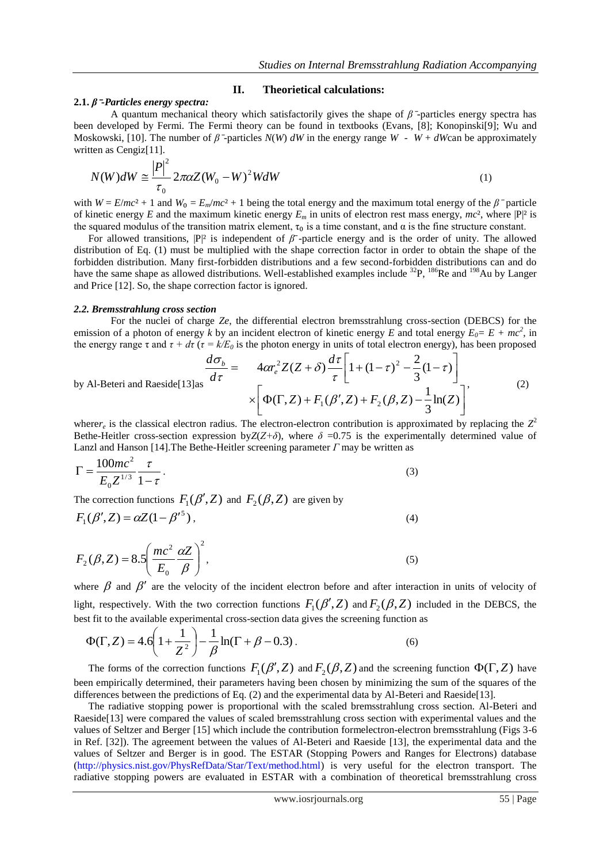## **II. Theorietical calculations:**

#### **2.1.** *β*⁻*-Particles energy spectra:*

A quantum mechanical theory which satisfactorily gives the shape of  $\beta$ <sup>-</sup>particles energy spectra has been developed by Fermi. The Fermi theory can be found in textbooks (Evans, [8]; Konopinski[9]; Wu and Moskowski, [10]. The number of  $\beta$  -particles  $N(W)$  *dW* in the energy range  $W - W + dW$ can be approximately written as Cengiz[11].

$$
N(W)dW \cong \frac{|P|^2}{\tau_0} 2\pi\alpha Z (W_0 - W)^2 W dW
$$
\n<sup>(1)</sup>

with  $W = E/mc^2 + 1$  and  $W_0 = E_m/mc^2 + 1$  being the total energy and the maximum total energy of the  $\beta$ <sup>-</sup> particle of kinetic energy *E* and the maximum kinetic energy  $E_m$  in units of electron rest mass energy,  $mc^2$ , where  $|P|^2$  is the squared modulus of the transition matrix element,  $\tau_0$  is a time constant, and  $\alpha$  is the fine structure constant.

For allowed transitions,  $|P|^2$  is independent of  $\beta^-$ -particle energy and is the order of unity. The allowed distribution of Eq. (1) must be multiplied with the shape correction factor in order to obtain the shape of the forbidden distribution. Many first-forbidden distributions and a few second-forbidden distributions can and do have the same shape as allowed distributions. Well-established examples include <sup>32</sup>P, <sup>186</sup>Re and <sup>198</sup>Au by Langer and Price [12]. So, the shape correction factor is ignored.

#### *2.2. Bremsstrahlung cross section*

For the nuclei of charge *Ze*, the differential electron bremsstrahlung cross-section (DEBCS) for the emission of a photon of energy *k* by an incident electron of kinetic energy *E* and total energy  $E_0 = E + mc^2$ , in the energy range τ and  $τ + dτ$  ( $τ = k/E<sub>0</sub>$  is the photon energy in units of total electron energy), has been proposed

by Al-Beteri and Raseide[13]as 
$$
\frac{d\sigma_b}{d\tau} = 4\alpha r_e^2 Z(Z+\delta) \frac{d\tau}{\tau} \left[ 1 + (1-\tau)^2 - \frac{2}{3} (1-\tau) \right]
$$

$$
\times \left[ \Phi(\Gamma, Z) + F_1(\beta', Z) + F_2(\beta, Z) - \frac{1}{3} \ln(Z) \right],
$$
(2)

where $r_e$  is the classical electron radius. The electron-electron contribution is approximated by replacing the  $Z^2$ Bethe-Heitler cross-section expression by $Z(Z+\delta)$ , where  $\delta = 0.75$  is the experimentally determined value of Lanzl and Hanson [14].The Bethe-Heitler screening parameter *Γ* may be written as

$$
\Gamma = \frac{100mc^2}{E_0 Z^{1/3}} \frac{\tau}{1 - \tau}.
$$
\n(3)

The correction functions  $F_1(\beta', Z)$  and  $F_2(\beta, Z)$  are given by

$$
F_1(\beta', Z) = \alpha Z (1 - {\beta'}^5), \tag{4}
$$

$$
F_2(\beta, Z) = 8.5 \left( \frac{mc^2}{E_0} \frac{\alpha Z}{\beta} \right)^2,
$$
\n(5)

where  $\beta$  and  $\beta'$  are the velocity of the incident electron before and after interaction in units of velocity of light, respectively. With the two correction functions  $F_1(\beta', Z)$  and  $F_2(\beta, Z)$  included in the DEBCS, the best fit to the available experimental cross-section data gives the screening function as

$$
\Phi(\Gamma, Z) = 4.6 \left( 1 + \frac{1}{Z^2} \right) - \frac{1}{\beta} \ln(\Gamma + \beta - 0.3) \,. \tag{6}
$$

The forms of the correction functions  $F_1(\beta', Z)$  and  $F_2(\beta, Z)$  and the screening function  $\Phi(\Gamma, Z)$  have been empirically determined, their parameters having been chosen by minimizing the sum of the squares of the differences between the predictions of Eq. (2) and the experimental data by Al-Beteri and Raeside[13].

The radiative stopping power is proportional with the scaled bremsstrahlung cross section. Al-Beteri and Raeside[13] were compared the values of scaled bremsstrahlung cross section with experimental values and the values of Seltzer and Berger [15] which include the contribution formelectron-electron bremsstrahlung (Figs 3-6 in Ref. [32]). The agreement between the values of Al-Beteri and Raeside [13], the experimental data and the values of Seltzer and Berger is in good. The ESTAR (Stopping Powers and Ranges for Electrons) database [\(http://physics.nist.gov/PhysRefData/Star/Text/method.html\)](http://physics.nist.gov/PhysRefData/Star/Text/method.html) is very useful for the electron transport. The radiative stopping powers are evaluated in ESTAR with a combination of theoretical bremsstrahlung cross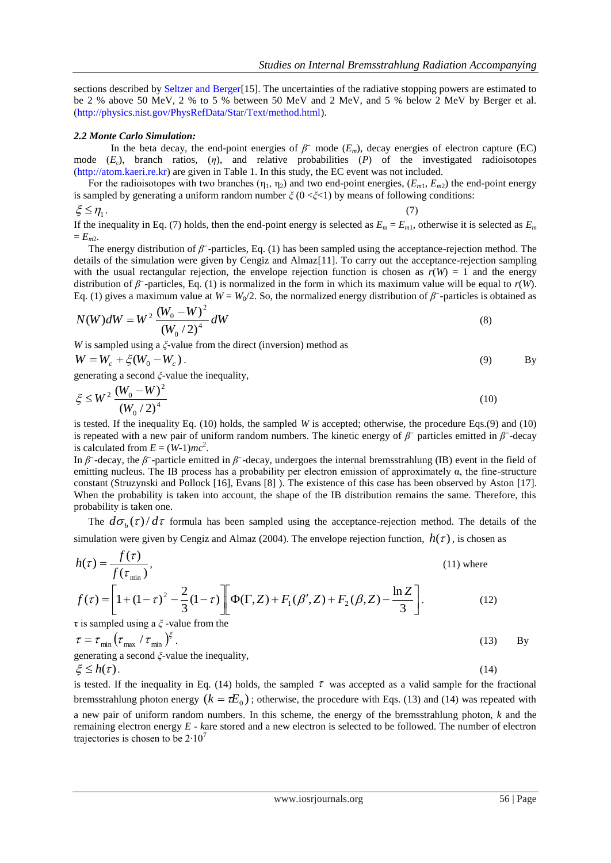sections described by [Seltzer and Berger\[](http://physics.nist.gov/PhysRefData/Star/Text/ref.html#Seltzer)15]. The uncertainties of the radiative stopping powers are estimated to be 2 % above 50 MeV, 2 % to 5 % between 50 MeV and 2 MeV, and 5 % below 2 MeV by Berger et al. [\(http://physics.nist.gov/PhysRefData/Star/Text/method.html\)](http://physics.nist.gov/PhysRefData/Star/Text/method.html).

#### *2.2 Monte Carlo Simulation:*

In the beta decay, the end-point energies of  $\beta^-$  mode  $(E_m)$ , decay energies of electron capture (EC) mode (*Eε*), branch ratios, (*η*), and relative probabilities (*P*) of the investigated radioisotopes [\(http://atom.kaeri.re.kr\)](http://atom.kaeri.re.kr/) are given in Table 1. In this study, the EC event was not included.

For the radioisotopes with two branches  $(\eta_1, \eta_2)$  and two end-point energies,  $(E_{m1}, E_{m2})$  the end-point energy is sampled by generating a uniform random number *ξ* (0 <*ξ*<1) by means of following conditions:

 $\xi \leq \eta_1$ .

If the inequality in Eq. (7) holds, then the end-point energy is selected as  $E_m = E_{m1}$ , otherwise it is selected as  $E_m$  $= E_{m2}$ .

The energy distribution of *β*<sup> $-$ </sup>-particles, Eq. (1) has been sampled using the acceptance-rejection method. The details of the simulation were given by Cengiz and Almaz[11]. To carry out the acceptance-rejection sampling with the usual rectangular rejection, the envelope rejection function is chosen as  $r(W) = 1$  and the energy distribution of  $\beta$ <sup>-</sup>-particles, Eq. (1) is normalized in the form in which its maximum value will be equal to *r*(*W*). Eq. (1) gives a maximum value at  $W = W_0/2$ . So, the normalized energy distribution of  $\beta^-$ -particles is obtained as

$$
N(W)dW = W^{2} \frac{(W_{0} - W)^{2}}{(W_{0}/2)^{4}}dW
$$
\n(8)

.  $(7)$ 

*W* is sampled using a *ξ*-value from the direct (inversion) method as

$$
W = W_c + \xi (W_0 - W_c). \tag{9}
$$

generating a second *ξ*-value the inequality,

$$
\xi \le W^2 \frac{(W_0 - W)^2}{(W_0 / 2)^4} \tag{10}
$$

is tested. If the inequality Eq. (10) holds, the sampled *W* is accepted; otherwise, the procedure Eqs.(9) and (10) is repeated with a new pair of uniform random numbers. The kinetic energy of  $\beta^-$  particles emitted in  $\beta^-$ -decay is calculated from  $E = (W-1)mc^2$ .

In  $\beta$ <sup>-</sup>-decay, the  $\beta$ <sup>-</sup>-particle emitted in  $\beta$ <sup>-</sup>-decay, undergoes the internal bremsstrahlung (IB) event in the field of emitting nucleus. The IB process has a probability per electron emission of approximately  $\alpha$ , the fine-structure constant (Struzynski and Pollock [16], Evans [8] ). The existence of this case has been observed by Aston [17]. When the probability is taken into account, the shape of the IB distribution remains the same. Therefore, this probability is taken one.

The  $d\sigma_b(\tau)/d\tau$  formula has been sampled using the acceptance-rejection method. The details of the simulation were given by Cengiz and Almaz (2004). The envelope rejection function,  $h(\tau)$ , is chosen as

$$
h(\tau) = \frac{f(\tau)}{f(\tau_{\min})},
$$
\n(11) where

$$
f(\tau) = \left[1 + (1 - \tau)^2 - \frac{2}{3}(1 - \tau)\right] \left[\Phi(\Gamma, Z) + F_1(\beta', Z) + F_2(\beta, Z) - \frac{\ln Z}{3}\right].
$$
 (12)

τ is sampled using a *ξ* -value from the

$$
\tau = \tau_{\min} \left( \tau_{\max} / \tau_{\min} \right)^{\xi}.
$$
\n(13) By generating a second  $\xi$ -value the inequality,

\n(14) Given that  $\tau$  is the probability of the following equations:

$$
\xi \le h(\tau). \tag{14}
$$

is tested. If the inequality in Eq. (14) holds, the sampled  $\tau$  was accepted as a valid sample for the fractional bremsstrahlung photon energy  $(k = \tau E_0)$ ; otherwise, the procedure with Eqs. (13) and (14) was repeated with a new pair of uniform random numbers. In this scheme, the energy of the bremsstrahlung photon, *k* and the remaining electron energy *E* - *k*are stored and a new electron is selected to be followed. The number of electron trajectories is chosen to be  $2 \cdot 10^7$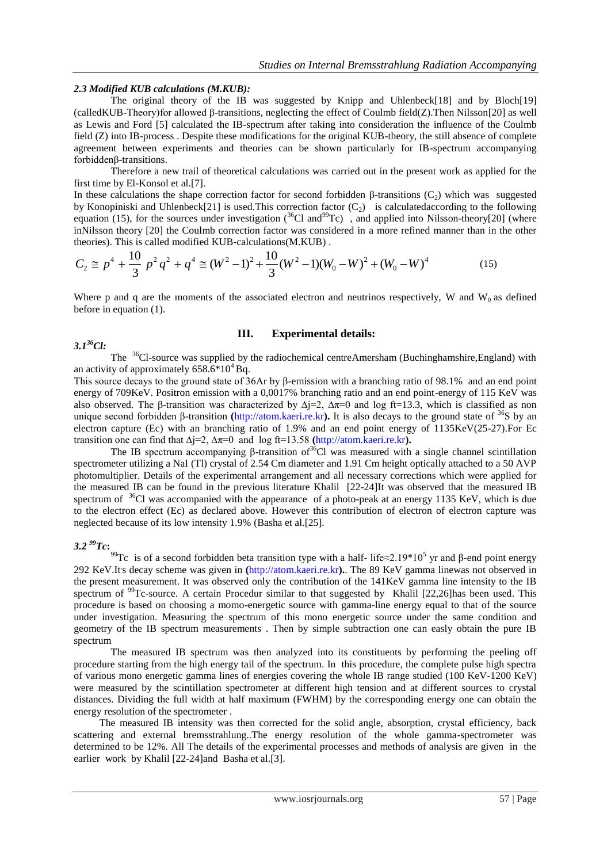## *2.3 Modified KUB calculations (M.KUB):*

The original theory of the IB was suggested by Knipp and Uhlenbeck[18] and by Bloch[19] (calledKUB-Theory)for allowed β-transitions, neglecting the effect of Coulmb field(Z).Then Nilsson[20] as well as Lewis and Ford [5] calculated the IB-spectrum after taking into consideration the influence of the Coulmb field (Z) into IB-process . Despite these modifications for the original KUB-theory, the still absence of complete agreement between experiments and theories can be shown particularly for IB-spectrum accompanying forbiddenβ-transitions.

Therefore a new trail of theoretical calculations was carried out in the present work as applied for the first time by El-Konsol et al.[7].

In these calculations the shape correction factor for second forbidden β-transitions (C<sub>2</sub>) which was suggested by Konopiniski and Uhlenbeck[21] is used. This correction factor  $(C_2)$  is calculated according to the following equation (15), for the sources under investigation ( $36$ Cl and $99$ Tc), and applied into Nilsson-theory[20] (where inNilsson theory [20] the Coulmb correction factor was considered in a more refined manner than in the other theories). This is called modified KUB-calculations(M.KUB) .

$$
C_2 \cong p^4 + \frac{10}{3} p^2 q^2 + q^4 \cong (W^2 - 1)^2 + \frac{10}{3} (W^2 - 1)(W_0 - W)^2 + (W_0 - W)^4
$$
 (15)

Where p and q are the moments of the associated electron and neutrinos respectively, W and  $W_0$  as defined before in equation (1).

## **III. Experimental details:**

The <sup>36</sup>Cl-source was supplied by the radiochemical centreAmersham (Buchinghamshire,England) with an activity of approximately  $658.6*10^4$  Bq.

This source decays to the ground state of 36Ar by β-emission with a branching ratio of 98.1% and an end point energy of 709KeV. Positron emission with a 0,0017% branching ratio and an end point-energy of 115 KeV was also observed. The β-transition was characterized by  $\Delta j=2$ ,  $\Delta \pi=0$  and log ft=13.3, which is classified as non unique second forbidden β-transition **(**[http://atom.kaeri.re.kr](http://atom.kaeri.re.kr/)**).** It is also decays to the ground state of <sup>36</sup>S by an electron capture (Ec) with an branching ratio of 1.9% and an end point energy of 1135KeV(25-27).For Ec transition one can find that ∆j=2, ∆π=0 and log ft=13.58 **(**[http://atom.kaeri.re.kr](http://atom.kaeri.re.kr/)**).**

The IB spectrum accompanying β-transition of  $36^{\circ}$ Cl was measured with a single channel scintillation spectrometer utilizing a NaI (Tl) crystal of 2.54 Cm diameter and 1.91 Cm height optically attached to a 50 AVP photomultiplier. Details of the experimental arrangement and all necessary corrections which were applied for the measured IB can be found in the previous literature Khalil [22-24]It was observed that the measured IB spectrum of <sup>36</sup>Cl was accompanied with the appearance of a photo-peak at an energy 1135 KeV, which is due to the electron effect (Ec) as declared above. However this contribution of electron of electron capture was neglected because of its low intensity 1.9% (Basha et al.[25].

## *3.2 <sup>99</sup>Tc***:**

*3.1<sup>36</sup>Cl:*

<sup>99</sup>Tc is of a second forbidden beta transition type with a half- life≈2.19\*10<sup>5</sup> yr and β-end point energy 292 KeV.It's decay scheme was given in ([http://atom.kaeri.re.kr](http://atom.kaeri.re.kr/)). The 89 KeV gamma linewas not observed in the present measurement. It was observed only the contribution of the 141KeV gamma line intensity to the IB spectrum of <sup>99</sup>Tc-source. A certain Procedur similar to that suggested by Khalil [22,26]has been used. This procedure is based on choosing a momo-energetic source with gamma-line energy equal to that of the source under investigation. Measuring the spectrum of this mono energetic source under the same condition and geometry of the IB spectrum measurements . Then by simple subtraction one can easly obtain the pure IB spectrum

The measured IB spectrum was then analyzed into its constituents by performing the peeling off procedure starting from the high energy tail of the spectrum. In this procedure, the complete pulse high spectra of various mono energetic gamma lines of energies covering the whole IB range studied (100 KeV-1200 KeV) were measured by the scintillation spectrometer at different high tension and at different sources to crystal distances. Dividing the full width at half maximum (FWHM) by the corresponding energy one can obtain the energy resolution of the spectrometer .

 The measured IB intensity was then corrected for the solid angle, absorption, crystal efficiency, back scattering and external bremsstrahlung..The energy resolution of the whole gamma-spectrometer was determined to be 12%. All The details of the experimental processes and methods of analysis are given in the earlier work by Khalil [22-24]and Basha et al.[3].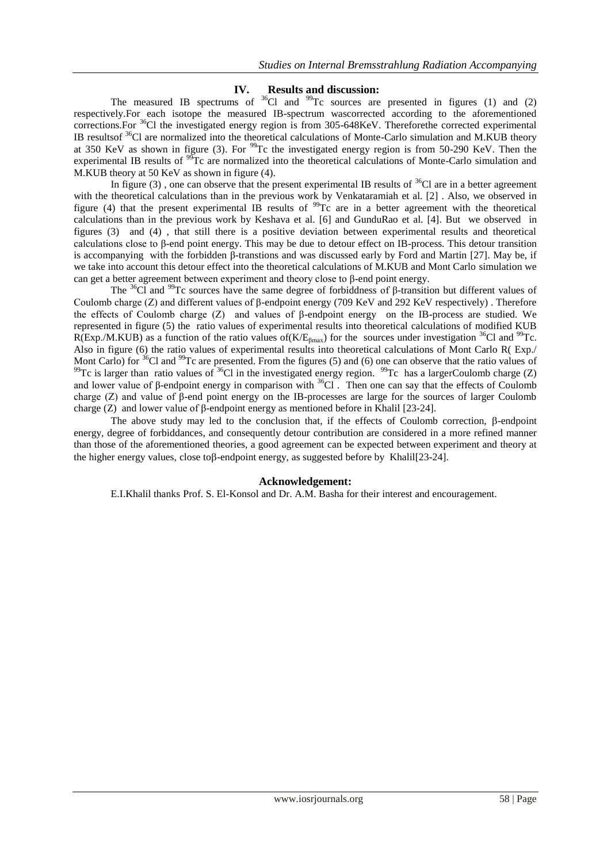# **IV. Results and discussion:**

The measured IB spectrums of  ${}^{36}$ Cl and  ${}^{99}$ Tc sources are presented in figures (1) and (2) respectively.For each isotope the measured IB-spectrum wascorrected according to the aforementioned corrections.For <sup>36</sup>Cl the investigated energy region is from 305-648KeV. Thereforethe corrected experimental IB resultsof <sup>36</sup>Cl are normalized into the theoretical calculations of Monte-Carlo simulation and M.KUB theory at 350 KeV as shown in figure (3). For  $^{99}$ Tc the investigated energy region is from 50-290 KeV. Then the experimental IB results of <sup>99</sup>Tc are normalized into the theoretical calculations of Monte-Carlo simulation and M.KUB theory at 50 KeV as shown in figure (4).

In figure (3), one can observe that the present experimental IB results of  $36$ Cl are in a better agreement with the theoretical calculations than in the previous work by Venkataramiah et al. [2] . Also, we observed in figure (4) that the present experimental IB results of  $\frac{99}{Tc}$  are in a better agreement with the theoretical calculations than in the previous work by Keshava et al. [6] and GunduRao et al. [4]. But we observed in figures (3) and (4) , that still there is a positive deviation between experimental results and theoretical calculations close to β-end point energy. This may be due to detour effect on IB-process. This detour transition is accompanying with the forbidden β-transtions and was discussed early by Ford and Martin [27]. May be, if we take into account this detour effect into the theoretical calculations of M.KUB and Mont Carlo simulation we can get a better agreement between experiment and theory close to β-end point energy.

The <sup>36</sup>Cl and <sup>99</sup>Tc sources have the same degree of forbiddness of β-transition but different values of Coulomb charge (Z) and different values of β-endpoint energy (709 KeV and 292 KeV respectively) . Therefore the effects of Coulomb charge (Z) and values of β-endpoint energy on the IB-process are studied. We represented in figure (5) the ratio values of experimental results into theoretical calculations of modified KUB R(Exp./M.KUB) as a function of the ratio values of( $K/E<sub>βmax</sub>$ ) for the sources under investigation <sup>36</sup>Cl and <sup>99</sup>Tc. Also in figure (6) the ratio values of experimental results into theoretical calculations of Mont Carlo R( Exp./ Mont Carlo) for <sup>36</sup>Cl and <sup>99</sup>Tc are presented. From the figures (5) and (6) one can observe that the ratio values of <sup>99</sup>Tc is larger than ratio values of <sup>36</sup>Cl in the investigated energy region. <sup>99</sup>Tc has a largerCoulomb charge (Z) and lower value of β-endpoint energy in comparison with <sup>36</sup>Cl. Then one can say that the effects of Coulomb charge (Z) and value of β-end point energy on the IB-processes are large for the sources of larger Coulomb charge (Z) and lower value of β-endpoint energy as mentioned before in Khalil [23-24].

The above study may led to the conclusion that, if the effects of Coulomb correction,  $\beta$ -endpoint energy, degree of forbiddances, and consequently detour contribution are considered in a more refined manner than those of the aforementioned theories, a good agreement can be expected between experiment and theory at the higher energy values, close to  $\beta$ -endpoint energy, as suggested before by Khalil $[23-24]$ .

## **Acknowledgement:**

E.I.Khalil thanks Prof. S. El-Konsol and Dr. A.M. Basha for their interest and encouragement.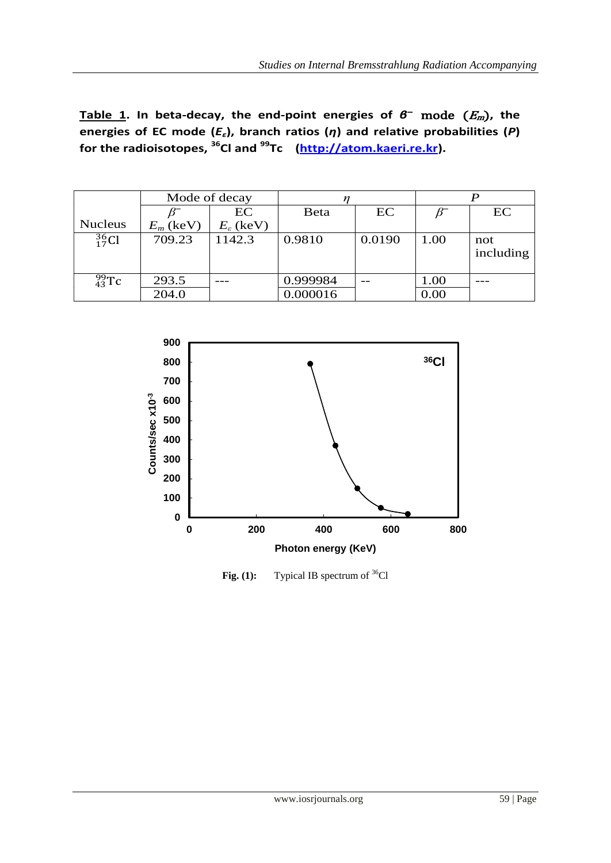**energies of EC mode (***Eε***), branch ratios (***η***) and relative probabilities (***P***) for the radioisotopes, <sup>36</sup>Cl and <sup>99</sup>Tc (http://atom.kaeri.re.kr).**

|                    | Mode of decay |                         |              |        |      |                  |
|--------------------|---------------|-------------------------|--------------|--------|------|------------------|
|                    |               | EC                      | <b>B</b> eta | EC     |      | EC               |
| <b>Nucleus</b>     | $E_m$ (keV)   | $E_{\varepsilon}$ (keV) |              |        |      |                  |
| $\frac{36}{17}$ Cl | 709.23        | 1142.3                  | 0.9810       | 0.0190 | 1.00 | not<br>including |
| $^{99}_{43}$ Tc    | 293.5         |                         | 0.999984     |        | 1.00 |                  |
|                    | 204.0         |                         | 0.000016     |        | 0.00 |                  |



Fig. (1): Typical IB spectrum of <sup>36</sup>Cl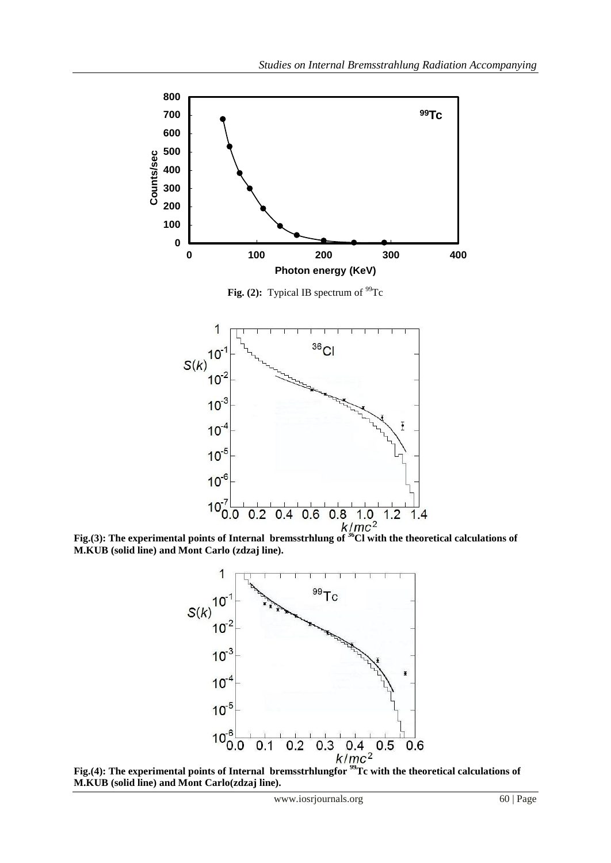

**Fig.(3): The experimental points of Internal bremsstrhlung of <sup>36</sup>Cl with the theoretical calculations of** <br>**Fig.(3):** The experimental points of Internal bremsstrhlung of <sup>36</sup>Cl with the theoretical calculations of **M.KUB (solid line) and Mont Carlo (zdzaj line).** 



Fig.(4): The experimental points of Internal bremsstrhlungfor <sup>99</sup>Tc with the theoretical calculations of **M.KUB (solid line) and Mont Carlo(zdzaj line).**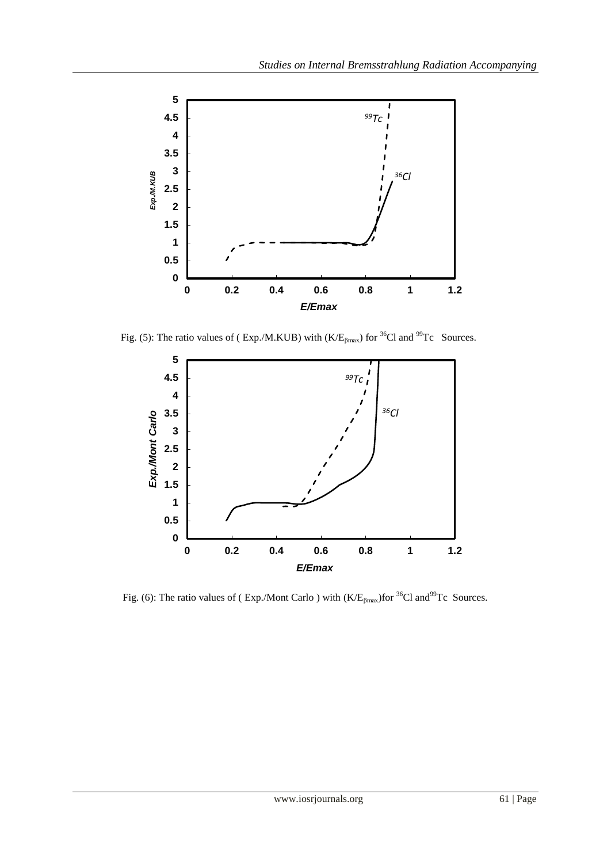

Fig. (5): The ratio values of ( Exp./M.KUB) with  $(K/E<sub>βmax</sub>)$  for <sup>36</sup>Cl and <sup>99</sup>Tc Sources.



Fig. (6): The ratio values of (Exp./Mont Carlo ) with  $(K/E<sub>flmax</sub>)$  for <sup>36</sup>Cl and<sup>99</sup>Tc Sources.